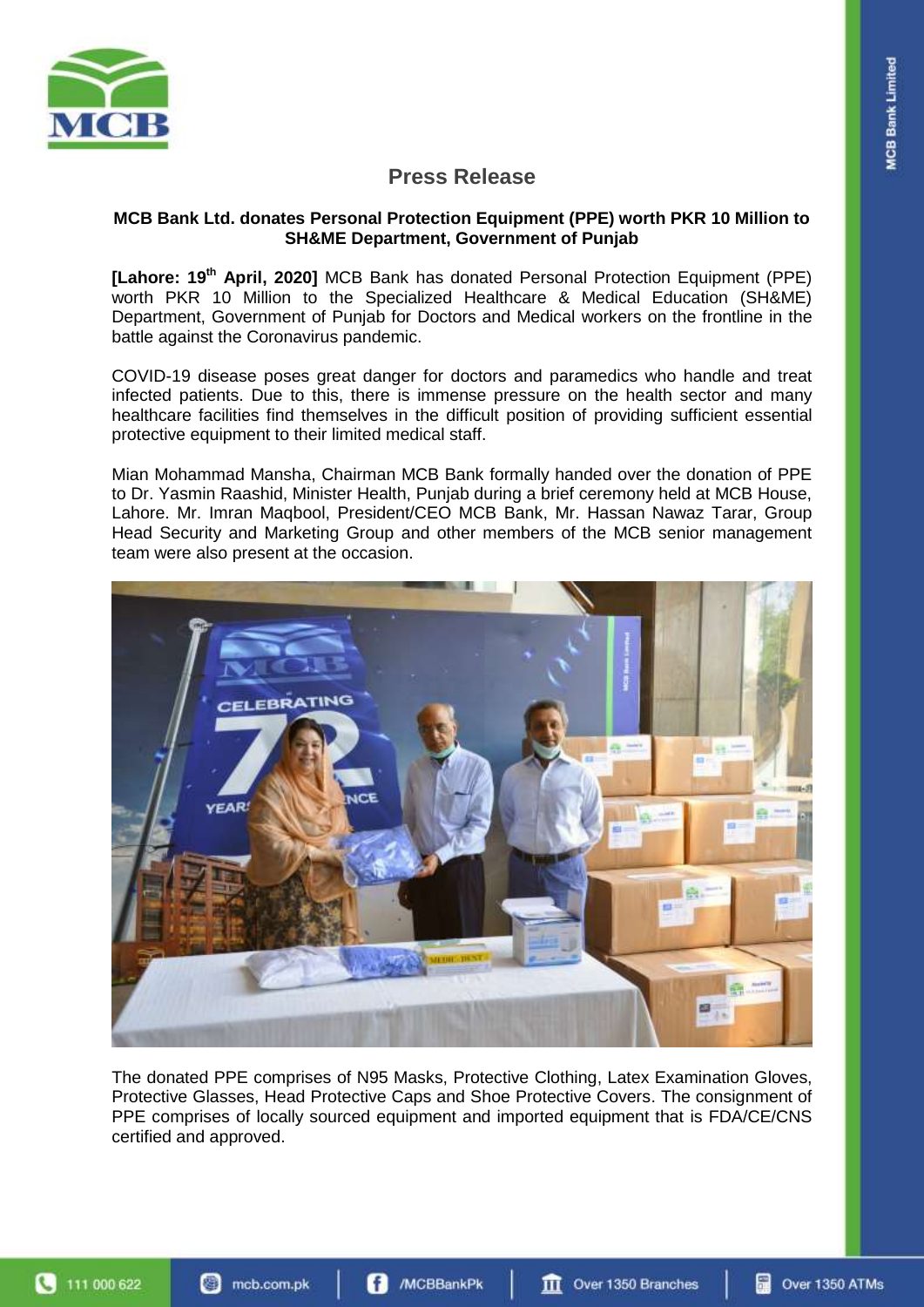

# **Press Release**

#### **MCB Bank Ltd. donates Personal Protection Equipment (PPE) worth PKR 10 Million to SH&ME Department, Government of Punjab**

**[Lahore: 19 th April, 2020]** MCB Bank has donated Personal Protection Equipment (PPE) worth PKR 10 Million to the Specialized Healthcare & Medical Education (SH&ME) Department, Government of Punjab for Doctors and Medical workers on the frontline in the battle against the Coronavirus pandemic.

COVID-19 disease poses great danger for doctors and paramedics who handle and treat infected patients. Due to this, there is immense pressure on the health sector and many healthcare facilities find themselves in the difficult position of providing sufficient essential protective equipment to their limited medical staff.

Mian Mohammad Mansha, Chairman MCB Bank formally handed over the donation of PPE to Dr. Yasmin Raashid, Minister Health, Punjab during a brief ceremony held at MCB House, Lahore. Mr. Imran Maqbool, President/CEO MCB Bank, Mr. Hassan Nawaz Tarar, Group Head Security and Marketing Group and other members of the MCB senior management team were also present at the occasion.



The donated PPE comprises of N95 Masks, Protective Clothing, Latex Examination Gloves, Protective Glasses, Head Protective Caps and Shoe Protective Covers. The consignment of PPE comprises of locally sourced equipment and imported equipment that is FDA/CE/CNS certified and approved.